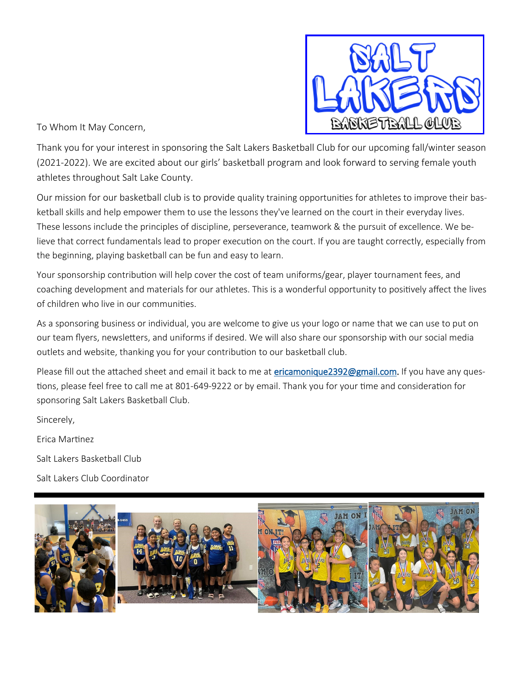

To Whom It May Concern,

Thank you for your interest in sponsoring the Salt Lakers Basketball Club for our upcoming fall/winter season (2021-2022). We are excited about our girls' basketball program and look forward to serving female youth athletes throughout Salt Lake County.

Our mission for our basketball club is to provide quality training opportunities for athletes to improve their basketball skills and help empower them to use the lessons they've learned on the court in their everyday lives. These lessons include the principles of discipline, perseverance, teamwork & the pursuit of excellence. We believe that correct fundamentals lead to proper execution on the court. If you are taught correctly, especially from the beginning, playing basketball can be fun and easy to learn.

Your sponsorship contribution will help cover the cost of team uniforms/gear, player tournament fees, and coaching development and materials for our athletes. This is a wonderful opportunity to positively affect the lives of children who live in our communities.

As a sponsoring business or individual, you are welcome to give us your logo or name that we can use to put on our team flyers, newsletters, and uniforms if desired. We will also share our sponsorship with our social media outlets and website, thanking you for your contribution to our basketball club.

Please fill out the attached sheet and email it back to me at [ericamonique2392@gmail.com.](mailto:ericamonique2392@gmail.com) If you have any questions, please feel free to call me at 801-649-9222 or by email. Thank you for your time and consideration for sponsoring Salt Lakers Basketball Club.

Sincerely,

Erica Martinez

Salt Lakers Basketball Club

Salt Lakers Club Coordinator